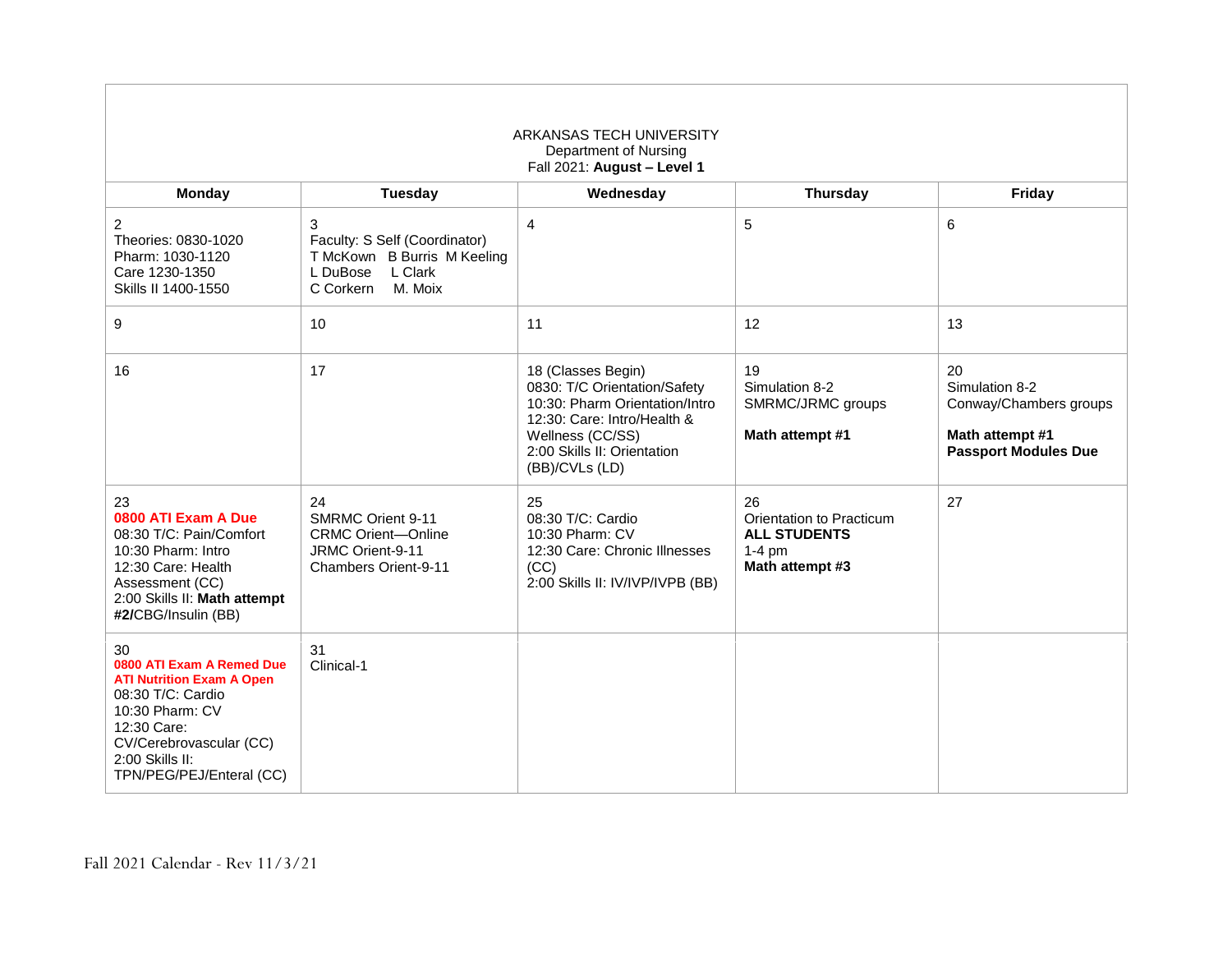| ARKANSAS TECH UNIVERSITY<br>Department of Nursing<br>Fall 2021: August - Level 1                                                                                                                     |                                                                                                                  |                                                                                                                                                                                          |                                                                                      |                                                                                                  |
|------------------------------------------------------------------------------------------------------------------------------------------------------------------------------------------------------|------------------------------------------------------------------------------------------------------------------|------------------------------------------------------------------------------------------------------------------------------------------------------------------------------------------|--------------------------------------------------------------------------------------|--------------------------------------------------------------------------------------------------|
| <b>Monday</b>                                                                                                                                                                                        | <b>Tuesday</b>                                                                                                   | Wednesday                                                                                                                                                                                | <b>Thursday</b>                                                                      | Friday                                                                                           |
| $\overline{c}$<br>Theories: 0830-1020<br>Pharm: 1030-1120<br>Care 1230-1350<br>Skills II 1400-1550                                                                                                   | 3<br>Faculty: S Self (Coordinator)<br>T McKown B Burris M Keeling<br>L DuBose<br>L Clark<br>C Corkern<br>M. Moix | $\overline{4}$                                                                                                                                                                           | 5                                                                                    | 6                                                                                                |
| 9                                                                                                                                                                                                    | 10                                                                                                               | 11                                                                                                                                                                                       | 12                                                                                   | 13                                                                                               |
| 16                                                                                                                                                                                                   | 17                                                                                                               | 18 (Classes Begin)<br>0830: T/C Orientation/Safety<br>10:30: Pharm Orientation/Intro<br>12:30: Care: Intro/Health &<br>Wellness (CC/SS)<br>2:00 Skills II: Orientation<br>(BB)/CVLs (LD) | 19<br>Simulation 8-2<br>SMRMC/JRMC groups<br>Math attempt #1                         | 20<br>Simulation 8-2<br>Conway/Chambers groups<br>Math attempt #1<br><b>Passport Modules Due</b> |
| 23<br>0800 ATI Exam A Due<br>08:30 T/C: Pain/Comfort<br>10:30 Pharm: Intro<br>12:30 Care: Health<br>Assessment (CC)<br>2:00 Skills II: Math attempt<br>#2/CBG/Insulin (BB)                           | 24<br><b>SMRMC Orient 9-11</b><br><b>CRMC Orient-Online</b><br>JRMC Orient-9-11<br><b>Chambers Orient-9-11</b>   | 25<br>08:30 T/C: Cardio<br>10:30 Pharm: CV<br>12:30 Care: Chronic Illnesses<br>(CC)<br>2:00 Skills II: IV/IVP/IVPB (BB)                                                                  | 26<br>Orientation to Practicum<br><b>ALL STUDENTS</b><br>$1-4$ pm<br>Math attempt #3 | 27                                                                                               |
| 30<br>0800 ATI Exam A Remed Due<br><b>ATI Nutrition Exam A Open</b><br>08:30 T/C: Cardio<br>10:30 Pharm: CV<br>12:30 Care:<br>CV/Cerebrovascular (CC)<br>2:00 Skills II:<br>TPN/PEG/PEJ/Enteral (CC) | 31<br>Clinical-1                                                                                                 |                                                                                                                                                                                          |                                                                                      |                                                                                                  |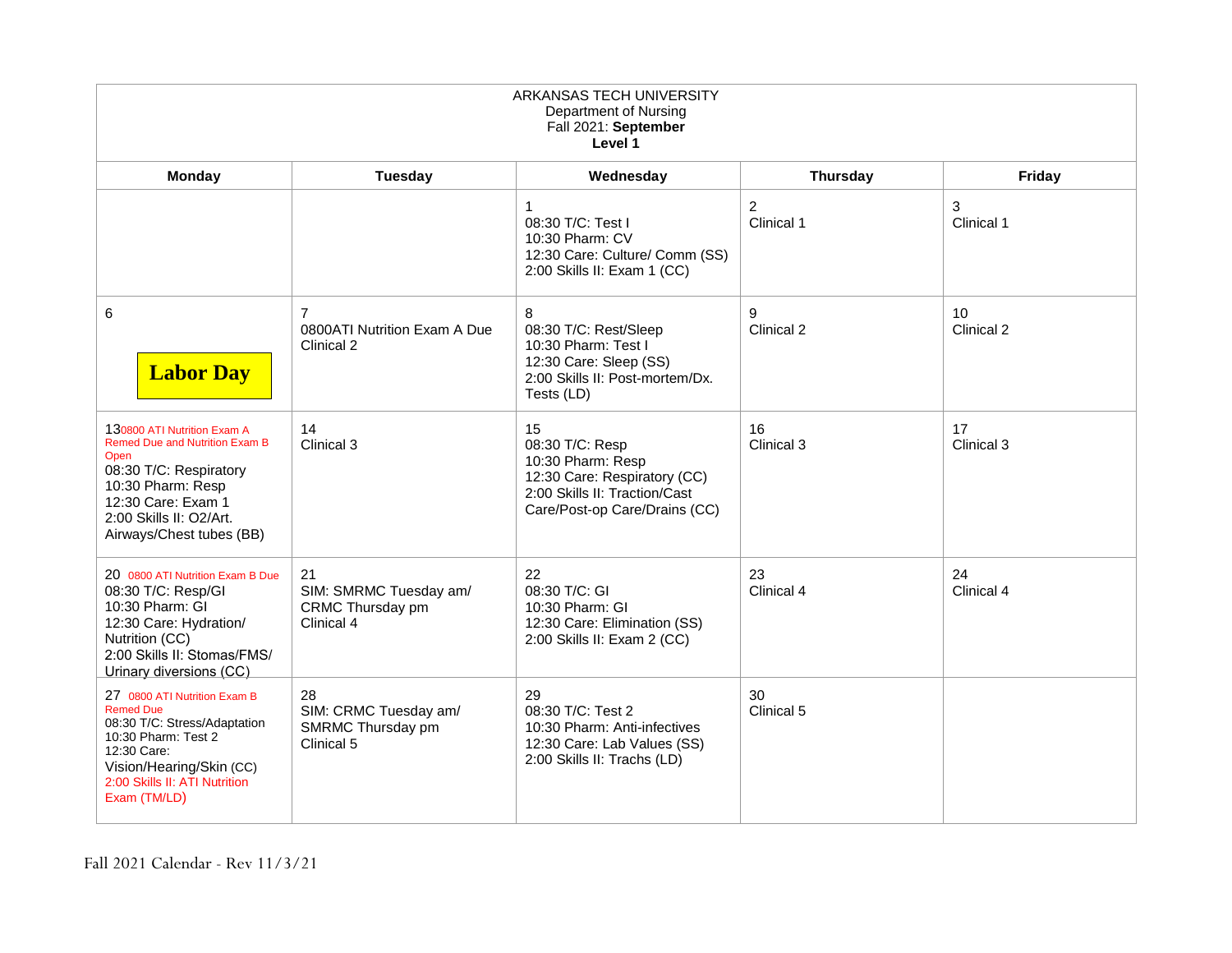| ARKANSAS TECH UNIVERSITY<br>Department of Nursing<br>Fall 2021: September<br>Level 1                                                                                                                     |                                                                |                                                                                                                                              |                              |                  |
|----------------------------------------------------------------------------------------------------------------------------------------------------------------------------------------------------------|----------------------------------------------------------------|----------------------------------------------------------------------------------------------------------------------------------------------|------------------------------|------------------|
| Monday                                                                                                                                                                                                   | Tuesday                                                        | Wednesday                                                                                                                                    | <b>Thursday</b>              | Friday           |
|                                                                                                                                                                                                          |                                                                | $\mathbf{1}$<br>08:30 T/C: Test I<br>10:30 Pharm: CV<br>12:30 Care: Culture/ Comm (SS)<br>2:00 Skills II: Exam 1 (CC)                        | $\overline{c}$<br>Clinical 1 | 3<br>Clinical 1  |
| 6<br><b>Labor Day</b>                                                                                                                                                                                    | $\overline{7}$<br>0800ATI Nutrition Exam A Due<br>Clinical 2   | 8<br>08:30 T/C: Rest/Sleep<br>10:30 Pharm: Test I<br>12:30 Care: Sleep (SS)<br>2:00 Skills II: Post-mortem/Dx.<br>Tests (LD)                 | 9<br>Clinical 2              | 10<br>Clinical 2 |
| 130800 ATI Nutrition Exam A<br><b>Remed Due and Nutrition Exam B</b><br>Open<br>08:30 T/C: Respiratory<br>10:30 Pharm: Resp<br>12:30 Care: Exam 1<br>2:00 Skills II: O2/Art.<br>Airways/Chest tubes (BB) | 14<br>Clinical 3                                               | 15<br>08:30 T/C: Resp<br>10:30 Pharm: Resp<br>12:30 Care: Respiratory (CC)<br>2:00 Skills II: Traction/Cast<br>Care/Post-op Care/Drains (CC) | 16<br>Clinical 3             | 17<br>Clinical 3 |
| 20 0800 ATI Nutrition Exam B Due<br>08:30 T/C: Resp/GI<br>10:30 Pharm: GI<br>12:30 Care: Hydration/<br>Nutrition (CC)<br>2:00 Skills II: Stomas/FMS/<br>Urinary diversions (CC)                          | 21<br>SIM: SMRMC Tuesday am/<br>CRMC Thursday pm<br>Clinical 4 | 22<br>08:30 T/C: GI<br>10:30 Pharm: GI<br>12:30 Care: Elimination (SS)<br>2:00 Skills II: Exam 2 (CC)                                        | 23<br>Clinical 4             | 24<br>Clinical 4 |
| 27 0800 ATI Nutrition Exam B<br><b>Remed Due</b><br>08:30 T/C: Stress/Adaptation<br>10:30 Pharm: Test 2<br>12:30 Care:<br>Vision/Hearing/Skin (CC)<br>2:00 Skills II: ATI Nutrition<br>Exam (TM/LD)      | 28<br>SIM: CRMC Tuesday am/<br>SMRMC Thursday pm<br>Clinical 5 | 29<br>08:30 T/C: Test 2<br>10:30 Pharm: Anti-infectives<br>12:30 Care: Lab Values (SS)<br>2:00 Skills II: Trachs (LD)                        | 30<br>Clinical 5             |                  |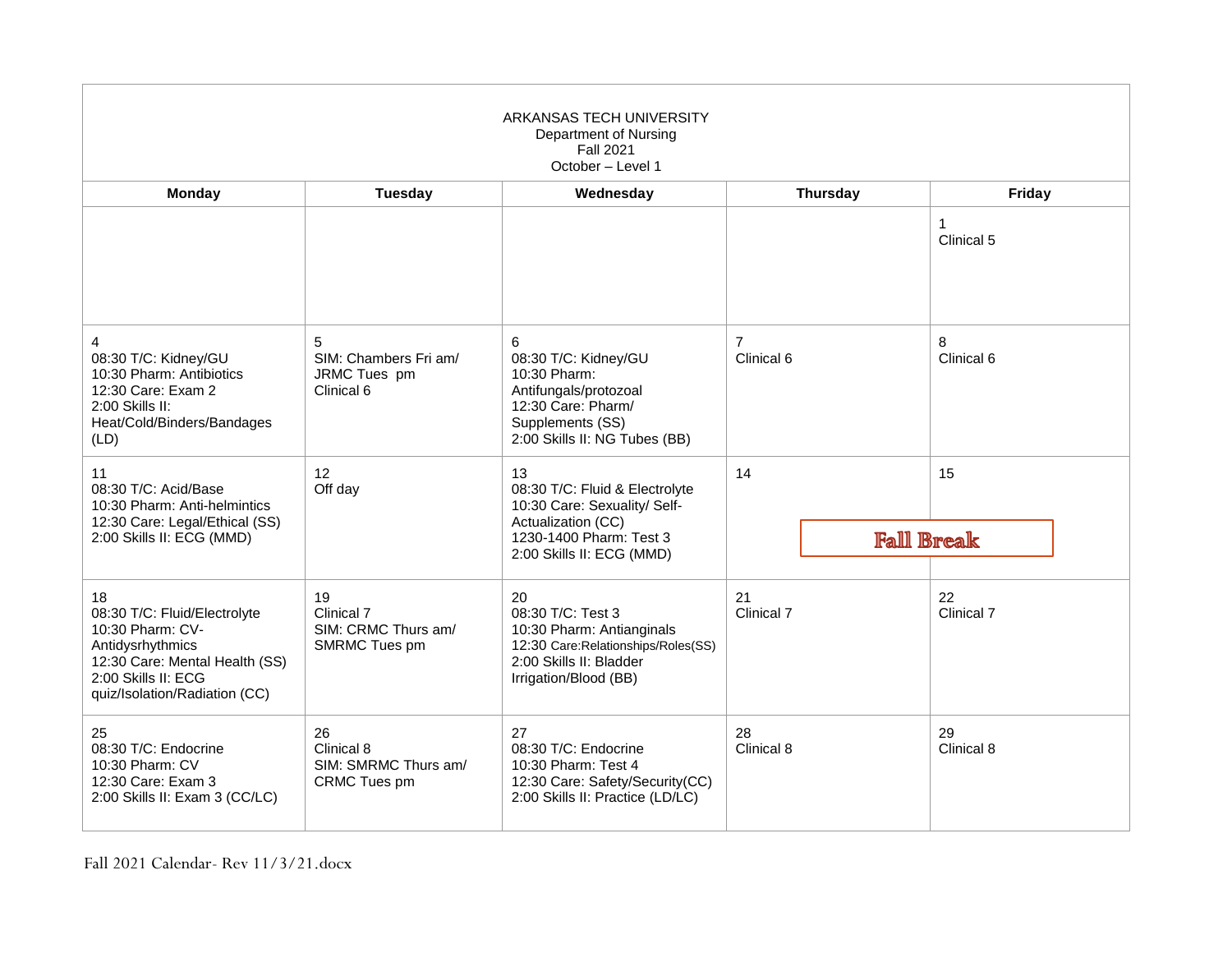| ARKANSAS TECH UNIVERSITY<br>Department of Nursing<br><b>Fall 2021</b><br>October - Level 1                                                                           |                                                                 |                                                                                                                                                    |                              |                            |
|----------------------------------------------------------------------------------------------------------------------------------------------------------------------|-----------------------------------------------------------------|----------------------------------------------------------------------------------------------------------------------------------------------------|------------------------------|----------------------------|
| <b>Monday</b>                                                                                                                                                        | <b>Tuesday</b>                                                  | Wednesday                                                                                                                                          | <b>Thursday</b>              | Friday                     |
|                                                                                                                                                                      |                                                                 |                                                                                                                                                    |                              | $\mathbf{1}$<br>Clinical 5 |
| 4<br>08:30 T/C: Kidney/GU<br>10:30 Pharm: Antibiotics<br>12:30 Care: Exam 2<br>2:00 Skills II:<br>Heat/Cold/Binders/Bandages<br>(LD)                                 | 5<br>SIM: Chambers Fri am/<br>JRMC Tues pm<br>Clinical 6        | 6<br>08:30 T/C: Kidney/GU<br>10:30 Pharm:<br>Antifungals/protozoal<br>12:30 Care: Pharm/<br>Supplements (SS)<br>2:00 Skills II: NG Tubes (BB)      | $\overline{7}$<br>Clinical 6 | 8<br>Clinical 6            |
| 11<br>08:30 T/C: Acid/Base<br>10:30 Pharm: Anti-helmintics<br>12:30 Care: Legal/Ethical (SS)<br>2:00 Skills II: ECG (MMD)                                            | 12<br>Off day                                                   | 13<br>08:30 T/C: Fluid & Electrolyte<br>10:30 Care: Sexuality/ Self-<br>Actualization (CC)<br>1230-1400 Pharm: Test 3<br>2:00 Skills II: ECG (MMD) | 14                           | 15<br><b>Fall Break</b>    |
| 18<br>08:30 T/C: Fluid/Electrolyte<br>10:30 Pharm: CV-<br>Antidysrhythmics<br>12:30 Care: Mental Health (SS)<br>2:00 Skills II: ECG<br>quiz/Isolation/Radiation (CC) | 19<br>Clinical 7<br>SIM: CRMC Thurs am/<br><b>SMRMC Tues pm</b> | 20<br>08:30 T/C: Test 3<br>10:30 Pharm: Antianginals<br>12:30 Care: Relationships/Roles(SS)<br>2:00 Skills II: Bladder<br>Irrigation/Blood (BB)    | 21<br>Clinical 7             | 22<br>Clinical 7           |
| 25<br>08:30 T/C: Endocrine<br>10:30 Pharm: CV<br>12:30 Care: Exam 3<br>2:00 Skills II: Exam 3 (CC/LC)                                                                | 26<br>Clinical 8<br>SIM: SMRMC Thurs am/<br>CRMC Tues pm        | 27<br>08:30 T/C: Endocrine<br>10:30 Pharm: Test 4<br>12:30 Care: Safety/Security(CC)<br>2:00 Skills II: Practice (LD/LC)                           | 28<br>Clinical 8             | 29<br>Clinical 8           |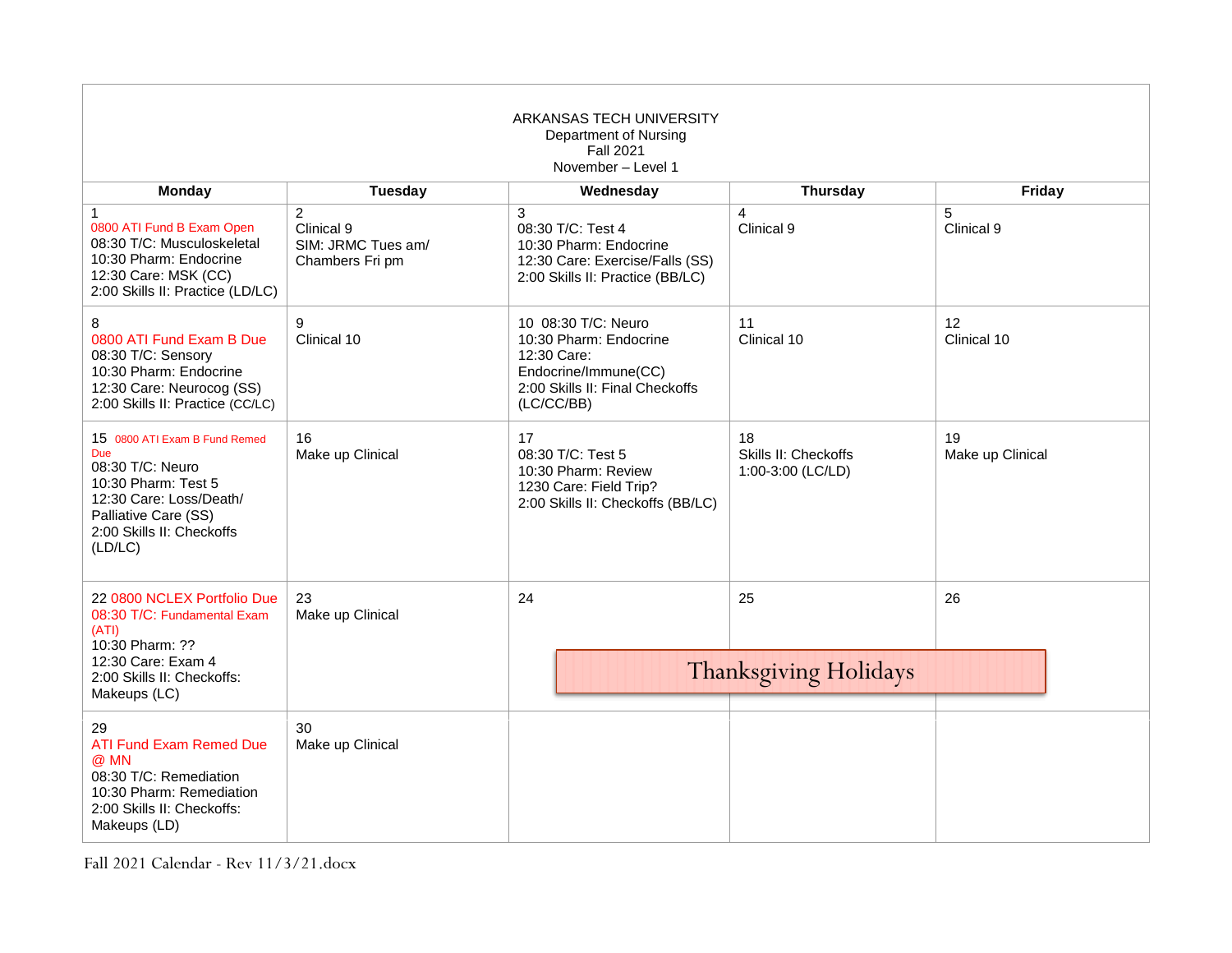| ARKANSAS TECH UNIVERSITY<br>Department of Nursing<br><b>Fall 2021</b><br>November - Level 1                                                                                       |                                                                       |                                                                                                                                       |                                                 |                        |
|-----------------------------------------------------------------------------------------------------------------------------------------------------------------------------------|-----------------------------------------------------------------------|---------------------------------------------------------------------------------------------------------------------------------------|-------------------------------------------------|------------------------|
| <b>Monday</b>                                                                                                                                                                     | <b>Tuesday</b>                                                        | Wednesday                                                                                                                             | <b>Thursday</b>                                 | Friday                 |
| $\mathbf{1}$<br>0800 ATI Fund B Exam Open<br>08:30 T/C: Musculoskeletal<br>10:30 Pharm: Endocrine<br>12:30 Care: MSK (CC)<br>2:00 Skills II: Practice (LD/LC)                     | $\overline{2}$<br>Clinical 9<br>SIM: JRMC Tues am/<br>Chambers Fri pm | 3<br>08:30 T/C: Test 4<br>10:30 Pharm: Endocrine<br>12:30 Care: Exercise/Falls (SS)<br>2:00 Skills II: Practice (BB/LC)               | $\overline{4}$<br>Clinical 9                    | 5<br>Clinical 9        |
| 8<br>0800 ATI Fund Exam B Due<br>08:30 T/C: Sensory<br>10:30 Pharm: Endocrine<br>12:30 Care: Neurocog (SS)<br>2:00 Skills II: Practice (CC/LC)                                    | 9<br>Clinical 10                                                      | 10 08:30 T/C: Neuro<br>10:30 Pharm: Endocrine<br>12:30 Care:<br>Endocrine/Immune(CC)<br>2:00 Skills II: Final Checkoffs<br>(LC/CC/BB) | 11<br>Clinical 10                               | 12<br>Clinical 10      |
| 15 0800 ATI Exam B Fund Remed<br><b>Due</b><br>08:30 T/C: Neuro<br>10:30 Pharm: Test 5<br>12:30 Care: Loss/Death/<br>Palliative Care (SS)<br>2:00 Skills II: Checkoffs<br>(LD/LC) | 16<br>Make up Clinical                                                | 17<br>08:30 T/C: Test 5<br>10:30 Pharm: Review<br>1230 Care: Field Trip?<br>2:00 Skills II: Checkoffs (BB/LC)                         | 18<br>Skills II: Checkoffs<br>1:00-3:00 (LC/LD) | 19<br>Make up Clinical |
| 22 0800 NCLEX Portfolio Due<br>08:30 T/C: Fundamental Exam<br>(ATI)<br>10:30 Pharm: ??<br>12:30 Care: Exam 4<br>2:00 Skills II: Checkoffs:<br>Makeups (LC)                        | 23<br>Make up Clinical                                                | 24                                                                                                                                    | 25<br><b>Thanksgiving Holidays</b>              | 26                     |
| 29<br><b>ATI Fund Exam Remed Due</b><br>@ MN<br>08:30 T/C: Remediation<br>10:30 Pharm: Remediation<br>2:00 Skills II: Checkoffs:<br>Makeups (LD)                                  | 30<br>Make up Clinical                                                |                                                                                                                                       |                                                 |                        |

Fall 2021 Calendar - Rev 11/3/21.docx